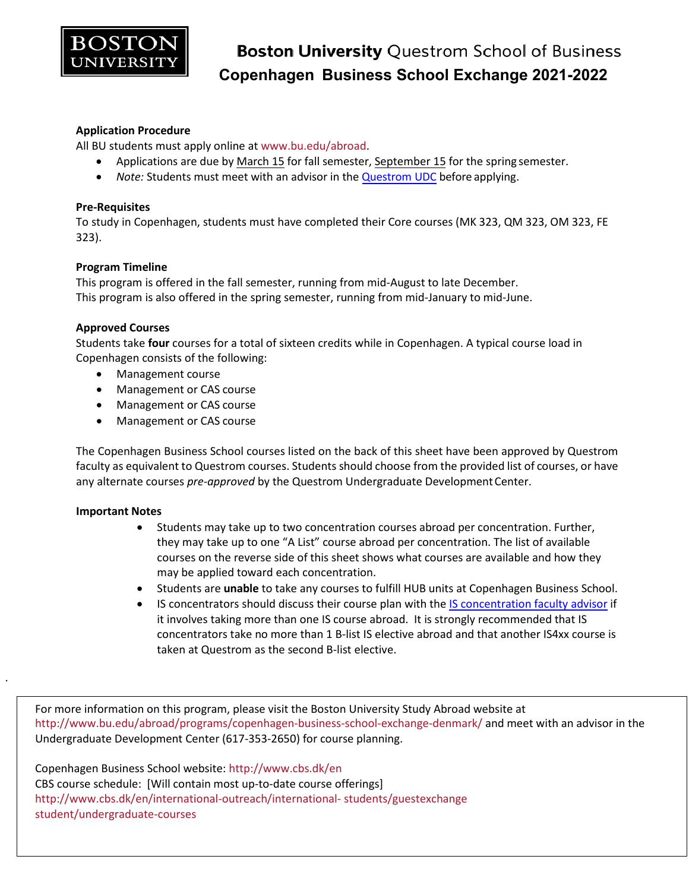

### **Application Procedure**

All BU students must apply online at [www.bu.edu/abroad.](http://www.bu.edu/abroad)

- Applications are due by March 15 for fall semester, September 15 for the spring semester.
- *Note:* Students must meet with an advisor in the [Questrom UDC](http://questromworld.bu.edu/studyabroad/advising/) before applying.

#### **Pre-Requisites**

To study in Copenhagen, students must have completed their Core courses (MK 323, QM 323, OM 323, FE 323).

#### **Program Timeline**

This program is offered in the fall semester, running from mid-August to late December. This program is also offered in the spring semester, running from mid-January to mid-June.

#### **Approved Courses**

Students take **four** courses for a total of sixteen credits while in Copenhagen. A typical course load in Copenhagen consists of the following:

- Management course
- Management or CAS course
- Management or CAS course
- Management or CAS course

The Copenhagen Business School courses listed on the back of this sheet have been approved by Questrom faculty as equivalent to Questrom courses. Students should choose from the provided list of courses, or have any alternate courses *pre-approved* by the Questrom Undergraduate Development Center.

#### **Important Notes**

.

- Students may take up to two concentration courses abroad per concentration. Further, they may take up to one "A List" course abroad per concentration. The list of available courses on the reverse side of this sheet shows what courses are available and how they may be applied toward each concentration.
- Students are **unable** to take any courses to fulfill HUB units at Copenhagen Business School.
- IS concentrators should discuss their course plan with the [IS concentration faculty advisor](http://questromworld.bu.edu/udc/academics/concentrations/#tab-id-5) if it involves taking more than one IS course abroad. It is strongly recommended that IS concentrators take no more than 1 B-list IS elective abroad and that another IS4xx course is taken at Questrom as the second B-list elective.

For more information on this program, please visit the Boston University Study Abroad website at <http://www.bu.edu/abroad/programs/copenhagen-business-school-exchange-denmark/> and meet with an advisor in the Undergraduate Development Center (617-353-2650) for course planning.

Copenhagen Business School website:<http://www.cbs.dk/en> CBS course schedule: [Will contain most up-to-date course offerings] [http://www.cbs.dk/en/international-outreach/international-](http://www.cbs.dk/en/international-outreach/international-students/guestexchange-student/undergraduate-courses) [students/guestexchange](http://www.cbs.dk/en/international-outreach/international-students/guestexchange-student/undergraduate-courses)  [student/undergraduate-courses](http://www.cbs.dk/en/international-outreach/international-students/guestexchange-student/undergraduate-courses)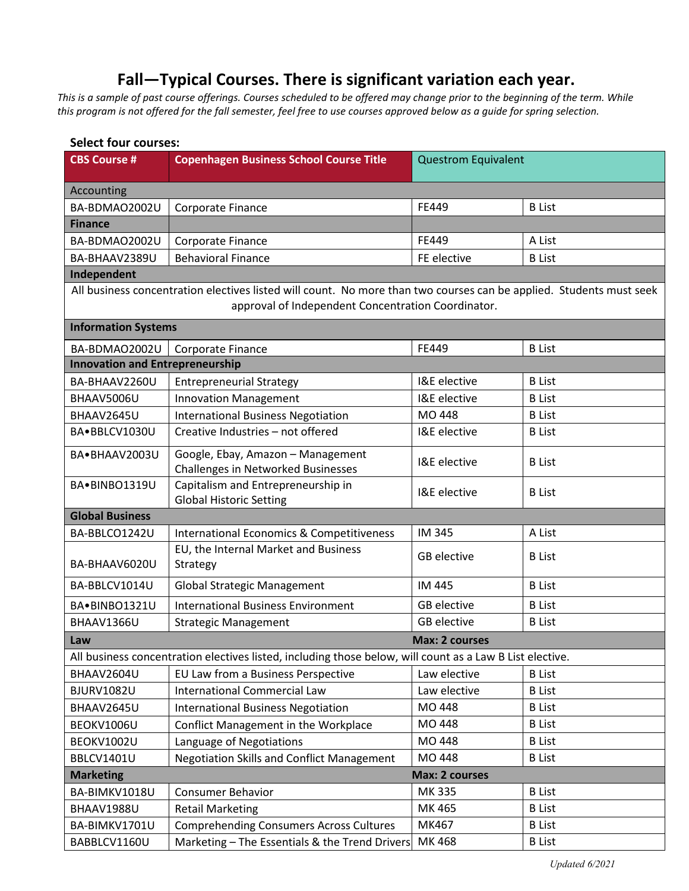## **Fall—Typical Courses. There is significant variation each year.**

*This is a sample of past course offerings. Courses scheduled to be offered may change prior to the beginning of the term. While this program is not offered for the fall semester, feel free to use courses approved below as a guide for spring selection.*

| <b>Select four courses:</b>               |                                                                                                                                                                           |                            |               |  |
|-------------------------------------------|---------------------------------------------------------------------------------------------------------------------------------------------------------------------------|----------------------------|---------------|--|
| <b>CBS Course #</b>                       | <b>Copenhagen Business School Course Title</b>                                                                                                                            | <b>Questrom Equivalent</b> |               |  |
| Accounting                                |                                                                                                                                                                           |                            |               |  |
| BA-BDMAO2002U                             | Corporate Finance                                                                                                                                                         | FE449                      | <b>B</b> List |  |
| <b>Finance</b>                            |                                                                                                                                                                           |                            |               |  |
| BA-BDMAO2002U                             | Corporate Finance                                                                                                                                                         | FE449                      | A List        |  |
| BA-BHAAV2389U                             | <b>Behavioral Finance</b>                                                                                                                                                 | FE elective                | <b>B</b> List |  |
| Independent                               |                                                                                                                                                                           |                            |               |  |
|                                           | All business concentration electives listed will count. No more than two courses can be applied. Students must seek<br>approval of Independent Concentration Coordinator. |                            |               |  |
| <b>Information Systems</b>                |                                                                                                                                                                           |                            |               |  |
| BA-BDMAO2002U                             | <b>Corporate Finance</b>                                                                                                                                                  | FE449                      | <b>B</b> List |  |
| <b>Innovation and Entrepreneurship</b>    |                                                                                                                                                                           |                            |               |  |
| BA-BHAAV2260U                             | <b>Entrepreneurial Strategy</b>                                                                                                                                           | I&E elective               | <b>B</b> List |  |
| BHAAV5006U                                | <b>Innovation Management</b>                                                                                                                                              | I&E elective               | <b>B</b> List |  |
| BHAAV2645U                                | <b>International Business Negotiation</b>                                                                                                                                 | MO 448                     | <b>B</b> List |  |
| BA·BBLCV1030U                             | Creative Industries - not offered                                                                                                                                         | I&E elective               | <b>B</b> List |  |
| BA.BHAAV2003U                             | Google, Ebay, Amazon - Management<br><b>Challenges in Networked Businesses</b>                                                                                            | I&E elective               | <b>B</b> List |  |
| BA.BINBO1319U                             | Capitalism and Entrepreneurship in<br><b>Global Historic Setting</b>                                                                                                      | I&E elective               | <b>B</b> List |  |
| <b>Global Business</b>                    |                                                                                                                                                                           |                            |               |  |
| BA-BBLCO1242U                             | International Economics & Competitiveness                                                                                                                                 | IM 345                     | A List        |  |
| BA-BHAAV6020U                             | EU, the Internal Market and Business<br>Strategy                                                                                                                          | <b>GB</b> elective         | <b>B</b> List |  |
| BA-BBLCV1014U                             | <b>Global Strategic Management</b>                                                                                                                                        | IM 445                     | <b>B</b> List |  |
| BA.BINBO1321U                             | <b>International Business Environment</b>                                                                                                                                 | <b>GB</b> elective         | <b>B</b> List |  |
| BHAAV1366U                                | <b>Strategic Management</b>                                                                                                                                               | <b>GB</b> elective         | <b>B</b> List |  |
| Law                                       |                                                                                                                                                                           | <b>Max: 2 courses</b>      |               |  |
|                                           | All business concentration electives listed, including those below, will count as a Law B List elective.                                                                  |                            |               |  |
| BHAAV2604U                                | EU Law from a Business Perspective                                                                                                                                        | Law elective               | <b>B</b> List |  |
| <b>BJURV1082U</b>                         | <b>International Commercial Law</b>                                                                                                                                       | Law elective               | <b>B</b> List |  |
| BHAAV2645U                                | <b>International Business Negotiation</b>                                                                                                                                 | MO 448                     | <b>B</b> List |  |
| BEOKV1006U                                | Conflict Management in the Workplace                                                                                                                                      | MO 448                     | <b>B</b> List |  |
| BEOKV1002U                                | Language of Negotiations                                                                                                                                                  | MO 448                     | <b>B</b> List |  |
| BBLCV1401U                                | <b>Negotiation Skills and Conflict Management</b>                                                                                                                         | MO 448                     | <b>B</b> List |  |
| <b>Max: 2 courses</b><br><b>Marketing</b> |                                                                                                                                                                           |                            |               |  |
| BA-BIMKV1018U                             | <b>Consumer Behavior</b>                                                                                                                                                  | MK 335                     | <b>B</b> List |  |
| BHAAV1988U                                | <b>Retail Marketing</b>                                                                                                                                                   | MK 465                     | <b>B</b> List |  |
| BA-BIMKV1701U                             | <b>Comprehending Consumers Across Cultures</b>                                                                                                                            | MK467                      | <b>B</b> List |  |
| BABBLCV1160U                              | Marketing - The Essentials & the Trend Drivers                                                                                                                            | MK 468                     | <b>B</b> List |  |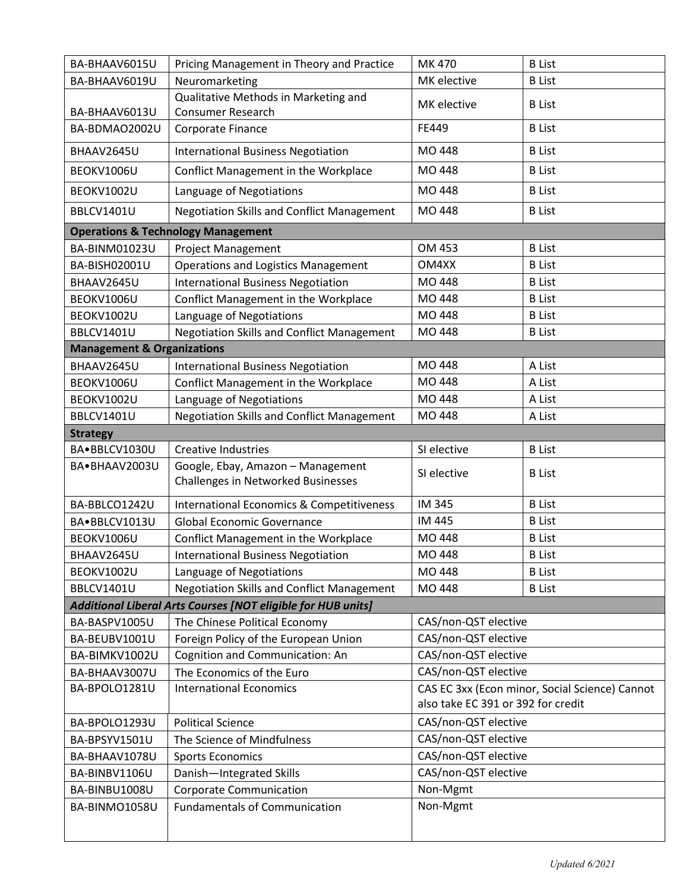| BA-BHAAV6015U                         | Pricing Management in Theory and Practice                               | MK 470                                         | <b>B</b> List |
|---------------------------------------|-------------------------------------------------------------------------|------------------------------------------------|---------------|
| BA-BHAAV6019U                         | Neuromarketing                                                          | MK elective                                    | <b>B</b> List |
| BA-BHAAV6013U                         | Qualitative Methods in Marketing and<br><b>Consumer Research</b>        | MK elective                                    | <b>B</b> List |
| BA-BDMAO2002U                         | Corporate Finance                                                       | FE449                                          | <b>B</b> List |
| BHAAV2645U                            | <b>International Business Negotiation</b>                               | MO 448                                         | <b>B</b> List |
| BEOKV1006U                            | Conflict Management in the Workplace                                    | MO 448                                         | <b>B</b> List |
| BEOKV1002U                            | Language of Negotiations                                                | MO 448                                         | <b>B</b> List |
| BBLCV1401U                            | <b>Negotiation Skills and Conflict Management</b>                       | MO 448                                         | <b>B</b> List |
|                                       | <b>Operations &amp; Technology Management</b>                           |                                                |               |
| BA-BINM01023U                         | <b>Project Management</b>                                               | OM 453                                         | <b>B</b> List |
| BA-BISH02001U                         | <b>Operations and Logistics Management</b>                              | OM4XX                                          | <b>B</b> List |
| BHAAV2645U                            | <b>International Business Negotiation</b>                               | MO 448                                         | <b>B</b> List |
| BEOKV1006U                            | Conflict Management in the Workplace                                    | MO 448                                         | <b>B</b> List |
| BEOKV1002U                            | Language of Negotiations                                                | MO 448                                         | <b>B</b> List |
| BBLCV1401U                            | <b>Negotiation Skills and Conflict Management</b>                       | MO 448                                         | <b>B</b> List |
| <b>Management &amp; Organizations</b> |                                                                         |                                                |               |
| BHAAV2645U                            | <b>International Business Negotiation</b>                               | MO 448                                         | A List        |
| BEOKV1006U                            | Conflict Management in the Workplace                                    | MO 448                                         | A List        |
| BEOKV1002U                            | Language of Negotiations                                                | MO 448                                         | A List        |
| BBLCV1401U                            | <b>Negotiation Skills and Conflict Management</b>                       | MO 448                                         | A List        |
| <b>Strategy</b>                       |                                                                         |                                                |               |
| BA.BBLCV1030U                         | <b>Creative Industries</b>                                              | SI elective                                    | <b>B</b> List |
| BA.BHAAV2003U                         | Google, Ebay, Amazon - Management<br>Challenges in Networked Businesses | SI elective                                    | <b>B</b> List |
| BA-BBLCO1242U                         | <b>International Economics &amp; Competitiveness</b>                    | <b>IM 345</b>                                  | <b>B</b> List |
| BA.BBLCV1013U                         | <b>Global Economic Governance</b>                                       | IM 445                                         | <b>B</b> List |
| BEOKV1006U                            | Conflict Management in the Workplace                                    | MO 448                                         | <b>B</b> List |
| BHAAV2645U                            | <b>International Business Negotiation</b>                               | MO 448                                         | <b>B</b> List |
| BEOKV1002U                            | Language of Negotiations                                                | MO 448                                         | <b>B</b> List |
| BBLCV1401U                            | <b>Negotiation Skills and Conflict Management</b>                       | MO 448                                         | <b>B</b> List |
|                                       | Additional Liberal Arts Courses [NOT eligible for HUB units]            |                                                |               |
| BA-BASPV1005U                         | The Chinese Political Economy                                           | CAS/non-QST elective                           |               |
| BA-BEUBV1001U                         | Foreign Policy of the European Union                                    | CAS/non-QST elective                           |               |
| BA-BIMKV1002U                         | Cognition and Communication: An                                         | CAS/non-QST elective                           |               |
| BA-BHAAV3007U                         | The Economics of the Euro                                               | CAS/non-QST elective                           |               |
| BA-BPOLO1281U                         | <b>International Economics</b>                                          | CAS EC 3xx (Econ minor, Social Science) Cannot |               |
|                                       |                                                                         | also take EC 391 or 392 for credit             |               |
| BA-BPOLO1293U                         | <b>Political Science</b>                                                | CAS/non-QST elective                           |               |
| BA-BPSYV1501U                         | The Science of Mindfulness                                              | CAS/non-QST elective                           |               |
| BA-BHAAV1078U                         | <b>Sports Economics</b>                                                 | CAS/non-QST elective                           |               |
| BA-BINBV1106U                         | Danish-Integrated Skills                                                | CAS/non-QST elective                           |               |
| BA-BINBU1008U                         | <b>Corporate Communication</b>                                          | Non-Mgmt                                       |               |
| BA-BINMO1058U                         | <b>Fundamentals of Communication</b>                                    | Non-Mgmt                                       |               |
|                                       |                                                                         |                                                |               |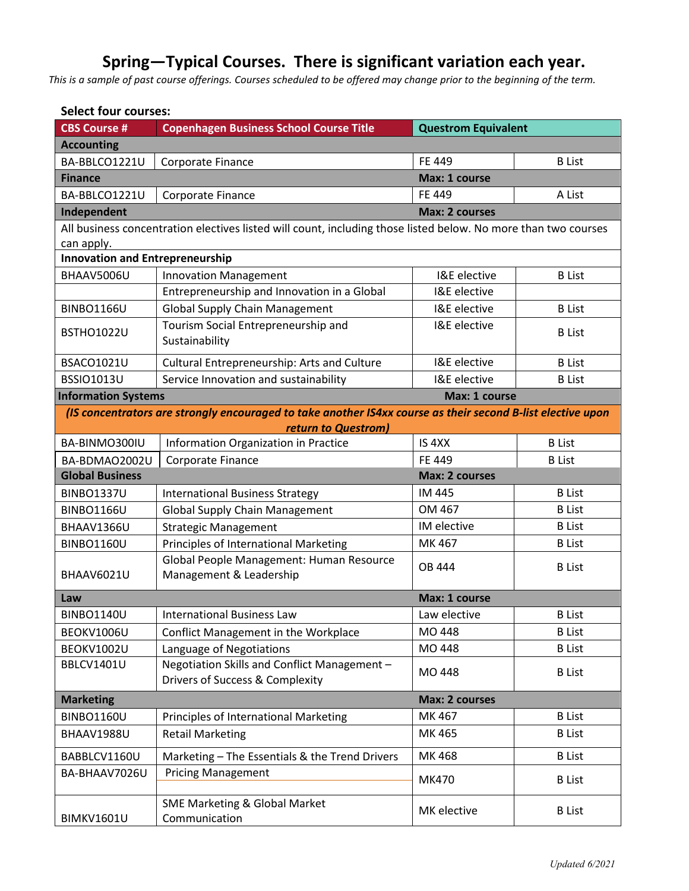# **Spring—Typical Courses. There is significant variation each year.**

*This is a sample of past course offerings. Courses scheduled to be offered may change prior to the beginning of the term.*

| <b>Select four courses:</b>            |                                                                                                                |                            |               |  |
|----------------------------------------|----------------------------------------------------------------------------------------------------------------|----------------------------|---------------|--|
| <b>CBS Course #</b>                    | <b>Copenhagen Business School Course Title</b>                                                                 | <b>Questrom Equivalent</b> |               |  |
| <b>Accounting</b>                      |                                                                                                                |                            |               |  |
| BA-BBLCO1221U                          | Corporate Finance                                                                                              | FE 449                     | <b>B</b> List |  |
| <b>Finance</b>                         |                                                                                                                | Max: 1 course              |               |  |
| BA-BBLCO1221U                          | Corporate Finance                                                                                              | FE 449                     | A List        |  |
| Independent                            |                                                                                                                | <b>Max: 2 courses</b>      |               |  |
|                                        | All business concentration electives listed will count, including those listed below. No more than two courses |                            |               |  |
| can apply.                             |                                                                                                                |                            |               |  |
| <b>Innovation and Entrepreneurship</b> |                                                                                                                |                            |               |  |
| BHAAV5006U                             | <b>Innovation Management</b>                                                                                   | I&E elective               | <b>B</b> List |  |
|                                        | Entrepreneurship and Innovation in a Global                                                                    | I&E elective               |               |  |
| <b>BINBO1166U</b>                      | <b>Global Supply Chain Management</b>                                                                          | I&E elective               | <b>B</b> List |  |
| <b>BSTHO1022U</b>                      | Tourism Social Entrepreneurship and                                                                            | I&E elective               | <b>B</b> List |  |
|                                        | Sustainability                                                                                                 |                            |               |  |
| <b>BSACO1021U</b>                      | Cultural Entrepreneurship: Arts and Culture                                                                    | I&E elective               | <b>B</b> List |  |
| <b>BSSIO1013U</b>                      | Service Innovation and sustainability                                                                          | I&E elective               | <b>B</b> List |  |
| <b>Information Systems</b>             |                                                                                                                | Max: 1 course              |               |  |
|                                        | (IS concentrators are strongly encouraged to take another IS4xx course as their second B-list elective upon    |                            |               |  |
|                                        | return to Questrom)                                                                                            |                            |               |  |
| BA-BINMO300IU                          | Information Organization in Practice                                                                           | IS <sub>4XX</sub>          | <b>B</b> List |  |
| BA-BDMAO2002U                          | Corporate Finance                                                                                              | FE 449                     | <b>B</b> List |  |
| <b>Global Business</b>                 |                                                                                                                | <b>Max: 2 courses</b>      |               |  |
| <b>BINBO1337U</b>                      | <b>International Business Strategy</b>                                                                         | IM 445                     | <b>B</b> List |  |
| <b>BINBO1166U</b>                      | <b>Global Supply Chain Management</b>                                                                          | OM 467                     | <b>B</b> List |  |
| BHAAV1366U                             | <b>Strategic Management</b>                                                                                    | IM elective                | <b>B</b> List |  |
| <b>BINBO1160U</b>                      | Principles of International Marketing                                                                          | MK 467                     | <b>B</b> List |  |
| BHAAV6021U                             | Global People Management: Human Resource<br>Management & Leadership                                            | <b>OB 444</b>              | <b>B</b> List |  |
|                                        |                                                                                                                |                            |               |  |
| Law                                    |                                                                                                                | Max: 1 course              |               |  |
| <b>BINBO1140U</b>                      | <b>International Business Law</b>                                                                              | Law elective               | <b>B</b> List |  |
| BEOKV1006U                             | Conflict Management in the Workplace                                                                           | MO 448                     | <b>B</b> List |  |
| BEOKV1002U                             | Language of Negotiations                                                                                       | MO 448                     | <b>B</b> List |  |
| BBLCV1401U                             | Negotiation Skills and Conflict Management -                                                                   | MO 448                     | <b>B</b> List |  |
|                                        | Drivers of Success & Complexity                                                                                |                            |               |  |
| <b>Marketing</b>                       |                                                                                                                | <b>Max: 2 courses</b>      |               |  |
| <b>BINBO1160U</b>                      | Principles of International Marketing                                                                          | MK 467                     | <b>B</b> List |  |
| BHAAV1988U                             | <b>Retail Marketing</b>                                                                                        | MK 465                     | <b>B</b> List |  |
| BABBLCV1160U                           | Marketing - The Essentials & the Trend Drivers                                                                 | MK 468                     | <b>B</b> List |  |
| BA-BHAAV7026U                          | <b>Pricing Management</b>                                                                                      | MK470                      | <b>B</b> List |  |
|                                        |                                                                                                                |                            |               |  |
| <b>BIMKV1601U</b>                      | <b>SME Marketing &amp; Global Market</b><br>Communication                                                      | MK elective                | <b>B</b> List |  |